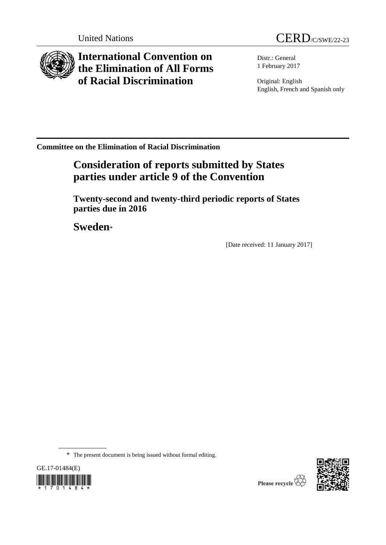

**International Convention on the Elimination of All Forms of Racial Discrimination**



Distr.: General 1 February 2017

Original: English English, French and Spanish only

**Committee on the Elimination of Racial Discrimination**

# **Consideration of reports submitted by States parties under article 9 of the Convention**

**Twenty-second and twenty-third periodic reports of States parties due in 2016**

**Sweden**\*

[Date received: 11 January 2017]

\* The present document is being issued without formal editing.



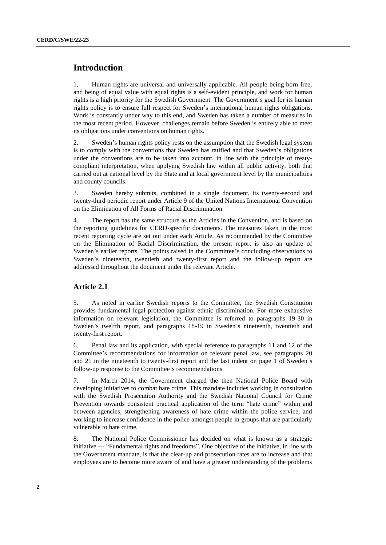## **Introduction**

1. Human rights are universal and universally applicable. All people being born free, and being of equal value with equal rights is a self-evident principle, and work for human rights is a high priority for the Swedish Government. The Government's goal for its human rights policy is to ensure full respect for Sweden's international human rights obligations. Work is constantly under way to this end, and Sweden has taken a number of measures in the most recent period. However, challenges remain before Sweden is entirely able to meet its obligations under conventions on human rights.

2. Sweden's human rights policy rests on the assumption that the Swedish legal system is to comply with the conventions that Sweden has ratified and that Sweden's obligations under the conventions are to be taken into account, in line with the principle of treatycompliant interpretation, when applying Swedish law within all public activity, both that carried out at national level by the State and at local government level by the municipalities and county councils.

3. Sweden hereby submits, combined in a single document, its twenty-second and twenty-third periodic report under Article 9 of the United Nations International Convention on the Elimination of All Forms of Racial Discrimination.

4. The report has the same structure as the Articles in the Convention, and is based on the reporting guidelines for CERD-specific documents. The measures taken in the most recent reporting cycle are set out under each Article. As recommended by the Committee on the Elimination of Racial Discrimination, the present report is also an update of Sweden's earlier reports. The points raised in the Committee's concluding observations to Sweden's nineteenth, twentieth and twenty-first report and the follow-up report are addressed throughout the document under the relevant Article.

## **Article 2.1**

5. As noted in earlier Swedish reports to the Committee, the Swedish Constitution provides fundamental legal protection against ethnic discrimination. For more exhaustive information on relevant legislation, the Committee is referred to paragraphs 19-30 in Sweden's twelfth report, and paragraphs 18-19 in Sweden's nineteenth, twentieth and twenty-first report.

6. Penal law and its application, with special reference to paragraphs 11 and 12 of the Committee's recommendations for information on relevant penal law, see paragraphs 20 and 21 in the nineteenth to twenty-first report and the last indent on page 1 of Sweden's follow-up response to the Committee's recommendations.

7. In March 2014, the Government charged the then National Police Board with developing initiatives to combat hate crime. This mandate includes working in consultation with the Swedish Prosecution Authority and the Swedish National Council for Crime Prevention towards consistent practical application of the term "hate crime" within and between agencies, strengthening awareness of hate crime within the police service, and working to increase confidence in the police amongst people in groups that are particularly vulnerable to hate crime.

8. The National Police Commissioner has decided on what is known as a strategic initiative — "Fundamental rights and freedoms". One objective of the initiative, in line with the Government mandate, is that the clear-up and prosecution rates are to increase and that employees are to become more aware of and have a greater understanding of the problems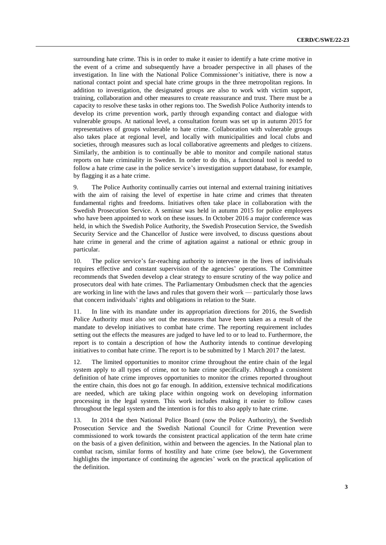surrounding hate crime. This is in order to make it easier to identify a hate crime motive in the event of a crime and subsequently have a broader perspective in all phases of the investigation. In line with the National Police Commissioner's initiative, there is now a national contact point and special hate crime groups in the three metropolitan regions. In addition to investigation, the designated groups are also to work with victim support, training, collaboration and other measures to create reassurance and trust. There must be a capacity to resolve these tasks in other regions too. The Swedish Police Authority intends to develop its crime prevention work, partly through expanding contact and dialogue with vulnerable groups. At national level, a consultation forum was set up in autumn 2015 for representatives of groups vulnerable to hate crime. Collaboration with vulnerable groups also takes place at regional level, and locally with municipalities and local clubs and societies, through measures such as local collaborative agreements and pledges to citizens. Similarly, the ambition is to continually be able to monitor and compile national status reports on hate criminality in Sweden. In order to do this, a functional tool is needed to follow a hate crime case in the police service's investigation support database, for example, by flagging it as a hate crime.

9. The Police Authority continually carries out internal and external training initiatives with the aim of raising the level of expertise in hate crime and crimes that threaten fundamental rights and freedoms. Initiatives often take place in collaboration with the Swedish Prosecution Service. A seminar was held in autumn 2015 for police employees who have been appointed to work on these issues. In October 2016 a major conference was held, in which the Swedish Police Authority, the Swedish Prosecution Service, the Swedish Security Service and the Chancellor of Justice were involved, to discuss questions about hate crime in general and the crime of agitation against a national or ethnic group in particular.

10. The police service's far-reaching authority to intervene in the lives of individuals requires effective and constant supervision of the agencies' operations. The Committee recommends that Sweden develop a clear strategy to ensure scrutiny of the way police and prosecutors deal with hate crimes. The Parliamentary Ombudsmen check that the agencies are working in line with the laws and rules that govern their work — particularly those laws that concern individuals' rights and obligations in relation to the State.

11. In line with its mandate under its appropriation directions for 2016, the Swedish Police Authority must also set out the measures that have been taken as a result of the mandate to develop initiatives to combat hate crime. The reporting requirement includes setting out the effects the measures are judged to have led to or to lead to. Furthermore, the report is to contain a description of how the Authority intends to continue developing initiatives to combat hate crime. The report is to be submitted by 1 March 2017 the latest.

12. The limited opportunities to monitor crime throughout the entire chain of the legal system apply to all types of crime, not to hate crime specifically. Although a consistent definition of hate crime improves opportunities to monitor the crimes reported throughout the entire chain, this does not go far enough. In addition, extensive technical modifications are needed, which are taking place within ongoing work on developing information processing in the legal system. This work includes making it easier to follow cases throughout the legal system and the intention is for this to also apply to hate crime.

13. In 2014 the then National Police Board (now the Police Authority), the Swedish Prosecution Service and the Swedish National Council for Crime Prevention were commissioned to work towards the consistent practical application of the term hate crime on the basis of a given definition, within and between the agencies. In the National plan to combat racism, similar forms of hostility and hate crime (see below), the Government highlights the importance of continuing the agencies' work on the practical application of the definition.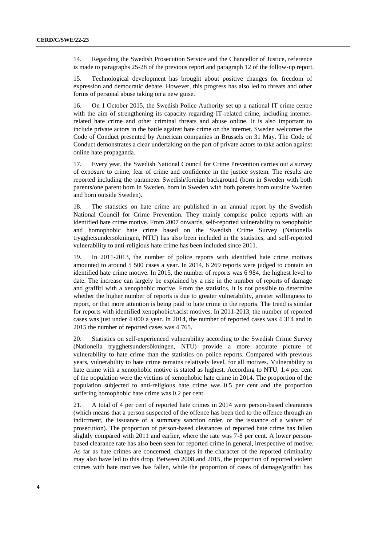14. Regarding the Swedish Prosecution Service and the Chancellor of Justice, reference is made to paragraphs 25-28 of the previous report and paragraph 12 of the follow-up report.

15. Technological development has brought about positive changes for freedom of expression and democratic debate. However, this progress has also led to threats and other forms of personal abuse taking on a new guise.

16. On 1 October 2015, the Swedish Police Authority set up a national IT crime centre with the aim of strengthening its capacity regarding IT-related crime, including internetrelated hate crime and other criminal threats and abuse online. It is also important to include private actors in the battle against hate crime on the internet. Sweden welcomes the Code of Conduct presented by American companies in Brussels on 31 May. The Code of Conduct demonstrates a clear undertaking on the part of private actors to take action against online hate propaganda.

17. Every year, the Swedish National Council for Crime Prevention carries out a survey of exposure to crime, fear of crime and confidence in the justice system. The results are reported including the parameter Swedish/foreign background (born in Sweden with both parents/one parent born in Sweden, born in Sweden with both parents born outside Sweden and born outside Sweden).

18. The statistics on hate crime are published in an annual report by the Swedish National Council for Crime Prevention. They mainly comprise police reports with an identified hate crime motive. From 2007 onwards, self-reported vulnerability to xenophobic and homophobic hate crime based on the Swedish Crime Survey (Nationella trygghetsundersökningen, NTU) has also been included in the statistics, and self-reported vulnerability to anti-religious hate crime has been included since 2011.

19. In 2011-2013, the number of police reports with identified hate crime motives amounted to around 5 500 cases a year. In 2014, 6 269 reports were judged to contain an identified hate crime motive. In 2015, the number of reports was 6 984, the highest level to date. The increase can largely be explained by a rise in the number of reports of damage and graffiti with a xenophobic motive. From the statistics, it is not possible to determine whether the higher number of reports is due to greater vulnerability, greater willingness to report, or that more attention is being paid to hate crime in the reports. The trend is similar for reports with identified xenophobic/racist motives. In 2011-2013, the number of reported cases was just under 4 000 a year. In 2014, the number of reported cases was 4 314 and in 2015 the number of reported cases was 4 765.

20. Statistics on self-experienced vulnerability according to the Swedish Crime Survey (Nationella trygghetsundersökningen, NTU) provide a more accurate picture of vulnerability to hate crime than the statistics on police reports. Compared with previous years, vulnerability to hate crime remains relatively level, for all motives. Vulnerability to hate crime with a xenophobic motive is stated as highest. According to NTU, 1.4 per cent of the population were the victims of xenophobic hate crime in 2014. The proportion of the population subjected to anti-religious hate crime was 0.5 per cent and the proportion suffering homophobic hate crime was 0.2 per cent.

21. A total of 4 per cent of reported hate crimes in 2014 were person-based clearances (which means that a person suspected of the offence has been tied to the offence through an indictment, the issuance of a summary sanction order, or the issuance of a waiver of prosecution). The proportion of person-based clearances of reported hate crime has fallen slightly compared with 2011 and earlier, where the rate was 7-8 per cent. A lower personbased clearance rate has also been seen for reported crime in general, irrespective of motive. As far as hate crimes are concerned, changes in the character of the reported criminality may also have led to this drop. Between 2008 and 2015, the proportion of reported violent crimes with hate motives has fallen, while the proportion of cases of damage/graffiti has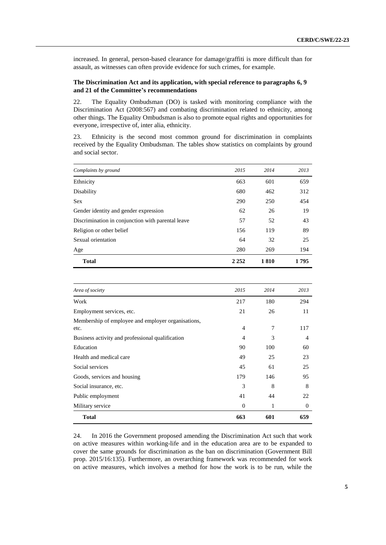increased. In general, person-based clearance for damage/graffiti is more difficult than for assault, as witnesses can often provide evidence for such crimes, for example.

## **The Discrimination Act and its application, with special reference to paragraphs 6, 9 and 21 of the Committee's recommendations**

22. The Equality Ombudsman (DO) is tasked with monitoring compliance with the Discrimination Act (2008:567) and combating discrimination related to ethnicity, among other things. The Equality Ombudsman is also to promote equal rights and opportunities for everyone, irrespective of, inter alia, ethnicity.

23. Ethnicity is the second most common ground for discrimination in complaints received by the Equality Ombudsman. The tables show statistics on complaints by ground and social sector.

| Complaints by ground                              | 2015    | 2014 | 2013 |
|---------------------------------------------------|---------|------|------|
| Ethnicity                                         | 663     | 601  | 659  |
| Disability                                        | 680     | 462  | 312  |
| <b>Sex</b>                                        | 290     | 250  | 454  |
| Gender identity and gender expression             | 62      | 26   | 19   |
| Discrimination in conjunction with parental leave | 57      | 52   | 43   |
| Religion or other belief                          | 156     | 119  | 89   |
| Sexual orientation                                | 64      | 32   | 25   |
| Age                                               | 280     | 269  | 194  |
| <b>Total</b>                                      | 2 2 5 2 | 1810 | 1795 |

| Area of society                                            | 2015           | 2014 | 2013           |
|------------------------------------------------------------|----------------|------|----------------|
| Work                                                       | 217            | 180  | 294            |
| Employment services, etc.                                  | 21             | 26   | 11             |
| Membership of employee and employer organisations,<br>etc. | $\overline{4}$ | 7    | 117            |
| Business activity and professional qualification           | 4              | 3    | $\overline{4}$ |
| Education                                                  | 90             | 100  | 60             |
| Health and medical care                                    | 49             | 25   | 23             |
| Social services                                            | 45             | 61   | 25             |
| Goods, services and housing                                | 179            | 146  | 95             |
| Social insurance, etc.                                     | 3              | 8    | 8              |
| Public employment                                          | 41             | 44   | 22             |
| Military service                                           | $\mathbf{0}$   | 1    | $\theta$       |
| <b>Total</b>                                               | 663            | 601  | 659            |

24. In 2016 the Government proposed amending the Discrimination Act such that work on active measures within working-life and in the education area are to be expanded to cover the same grounds for discrimination as the ban on discrimination (Government Bill prop. 2015/16:135). Furthermore, an overarching framework was recommended for work on active measures, which involves a method for how the work is to be run, while the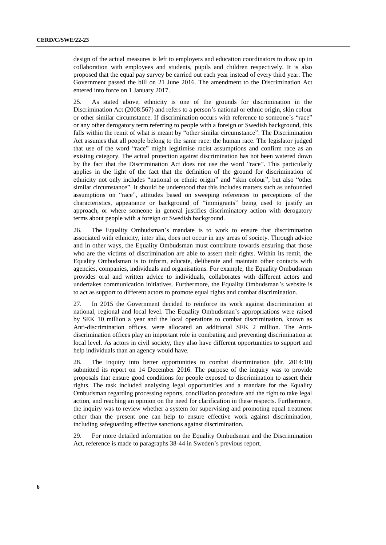design of the actual measures is left to employers and education coordinators to draw up in collaboration with employees and students, pupils and children respectively. It is also proposed that the equal pay survey be carried out each year instead of every third year. The Government passed the bill on 21 June 2016. The amendment to the Discrimination Act entered into force on 1 January 2017.

25. As stated above, ethnicity is one of the grounds for discrimination in the Discrimination Act (2008:567) and refers to a person's national or ethnic origin, skin colour or other similar circumstance. If discrimination occurs with reference to someone's "race" or any other derogatory term referring to people with a foreign or Swedish background, this falls within the remit of what is meant by "other similar circumstance". The Discrimination Act assumes that all people belong to the same race: the human race. The legislator judged that use of the word "race" might legitimise racist assumptions and confirm race as an existing category. The actual protection against discrimination has not been watered down by the fact that the Discrimination Act does not use the word "race". This particularly applies in the light of the fact that the definition of the ground for discrimination of ethnicity not only includes "national or ethnic origin" and "skin colour", but also "other similar circumstance". It should be understood that this includes matters such as unfounded assumptions on "race", attitudes based on sweeping references to perceptions of the characteristics, appearance or background of "immigrants" being used to justify an approach, or where someone in general justifies discriminatory action with derogatory terms about people with a foreign or Swedish background.

26. The Equality Ombudsman's mandate is to work to ensure that discrimination associated with ethnicity, inter alia, does not occur in any areas of society. Through advice and in other ways, the Equality Ombudsman must contribute towards ensuring that those who are the victims of discrimination are able to assert their rights. Within its remit, the Equality Ombudsman is to inform, educate, deliberate and maintain other contacts with agencies, companies, individuals and organisations. For example, the Equality Ombudsman provides oral and written advice to individuals, collaborates with different actors and undertakes communication initiatives. Furthermore, the Equality Ombudsman's website is to act as support to different actors to promote equal rights and combat discrimination.

27. In 2015 the Government decided to reinforce its work against discrimination at national, regional and local level. The Equality Ombudsman's appropriations were raised by SEK 10 million a year and the local operations to combat discrimination, known as Anti-discrimination offices, were allocated an additional SEK 2 million. The Antidiscrimination offices play an important role in combating and preventing discrimination at local level. As actors in civil society, they also have different opportunities to support and help individuals than an agency would have.

28. The Inquiry into better opportunities to combat discrimination (dir. 2014:10) submitted its report on 14 December 2016. The purpose of the inquiry was to provide proposals that ensure good conditions for people exposed to discrimination to assert their rights. The task included analysing legal opportunities and a mandate for the Equality Ombudsman regarding processing reports, conciliation procedure and the right to take legal action, and reaching an opinion on the need for clarification in these respects. Furthermore, the inquiry was to review whether a system for supervising and promoting equal treatment other than the present one can help to ensure effective work against discrimination, including safeguarding effective sanctions against discrimination.

29. For more detailed information on the Equality Ombudsman and the Discrimination Act, reference is made to paragraphs 38-44 in Sweden's previous report.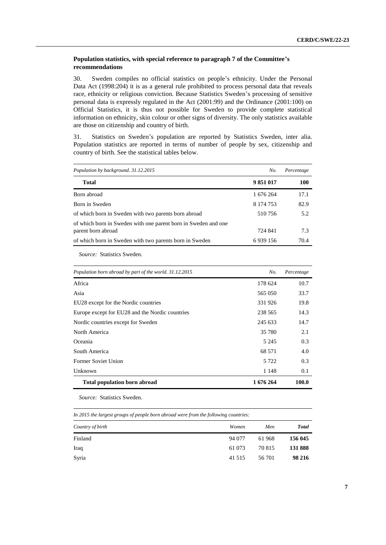## **Population statistics, with special reference to paragraph 7 of the Committee's recommendations**

30. Sweden compiles no official statistics on people's ethnicity. Under the Personal Data Act (1998:204) it is as a general rule prohibited to process personal data that reveals race, ethnicity or religious conviction. Because Statistics Sweden's processing of sensitive personal data is expressly regulated in the Act (2001:99) and the Ordinance (2001:100) on Official Statistics, it is thus not possible for Sweden to provide complete statistical information on ethnicity, skin colour or other signs of diversity. The only statistics available are those on citizenship and country of birth.

31. Statistics on Sweden's population are reported by Statistics Sweden, inter alia. Population statistics are reported in terms of number of people by sex, citizenship and country of birth. See the statistical tables below.

| Population by background. 31.12.2015<br>No.                                          |           | Percentage |  |
|--------------------------------------------------------------------------------------|-----------|------------|--|
| <b>Total</b>                                                                         | 9851017   | 100        |  |
| Born abroad                                                                          | 1 676 264 | 17.1       |  |
| Born in Sweden                                                                       | 8 174 753 | 82.9       |  |
| of which born in Sweden with two parents born abroad                                 | 510756    | 5.2        |  |
| of which born in Sweden with one parent born in Sweden and one<br>parent born abroad | 724 841   | 7.3        |  |
| of which born in Sweden with two parents born in Sweden                              | 6939156   | 70.4       |  |

*Source:* Statistics Sweden.

| Population born abroad by part of the world. 31.12.2015 | No.     | Percentage |
|---------------------------------------------------------|---------|------------|
| Africa                                                  | 178 624 | 10.7       |
| Asia                                                    | 565 050 | 33.7       |
| EU28 except for the Nordic countries                    | 331926  | 19.8       |
| Europe except for EU28 and the Nordic countries         | 238 565 | 14.3       |
| Nordic countries except for Sweden                      | 245 633 | 14.7       |
| North America                                           | 35 780  | 2.1        |
| Oceania                                                 | 5 2 4 5 | 0.3        |
| South America                                           | 68 571  | 4.0        |
| Former Soviet Union                                     | 5 7 2 2 | 0.3        |
| Unknown                                                 | 1 148   | 0.1        |
| <b>Total population born abroad</b>                     | 1676264 | 100.0      |

*Source:* Statistics Sweden.

| In 2015 the largest groups of people born abroad were from the following countries: |  |
|-------------------------------------------------------------------------------------|--|
|-------------------------------------------------------------------------------------|--|

| Country of birth | Women   | Men    | <b>Total</b> |
|------------------|---------|--------|--------------|
| Finland          | 94 077  | 61968  | 156 045      |
| Iraq             | 61 073  | 70 815 | 131 888      |
| Syria            | 41 5 15 | 56 701 | 98 216       |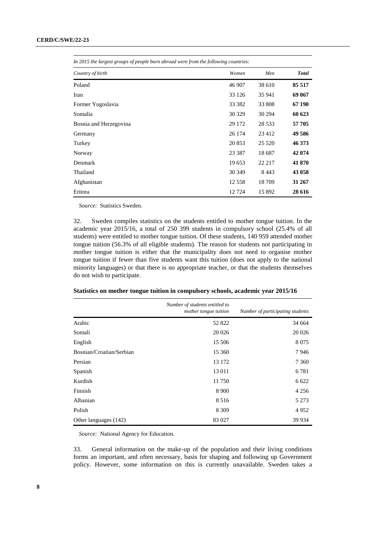| In 2015 the largest groups of people born abroad were from the following countries: |          |         |              |
|-------------------------------------------------------------------------------------|----------|---------|--------------|
| Country of birth                                                                    | Women    | Men     | <b>Total</b> |
| Poland                                                                              | 46 907   | 38 610  | 85 517       |
| Iran                                                                                | 33 1 26  | 35 941  | 69 067       |
| Former Yugoslavia                                                                   | 33 3 8 2 | 33 808  | 67 190       |
| Somalia                                                                             | 30 329   | 30 294  | 60 623       |
| Bosnia and Herzegovina                                                              | 29 172   | 28 5 33 | 57 705       |
| Germany                                                                             | 26 174   | 23 4 12 | 49 586       |
| Turkey                                                                              | 20853    | 25 5 20 | 46 373       |
| Norway                                                                              | 23 3 8 7 | 18687   | 42 074       |
| Denmark                                                                             | 19653    | 22 217  | 41 870       |
| Thailand                                                                            | 30 349   | 8443    | 43 058       |
| Afghanistan                                                                         | 12 5 5 8 | 18709   | 31 267       |
| Eritrea                                                                             | 12724    | 15892   | 28 616       |

*In 2015 the largest groups of people born abroad were from the following countries:*

*Source:* Statistics Sweden.

32. Sweden compiles statistics on the students entitled to mother tongue tuition. In the academic year 2015/16, a total of 250 399 students in compulsory school (25.4% of all students) were entitled to mother tongue tuition. Of these students, 140 959 attended mother tongue tuition (56.3% of all eligible students). The reason for students not participating in mother tongue tuition is either that the municipality does not need to organise mother tongue tuition if fewer than five students want this tuition (does not apply to the national minority languages) or that there is no appropriate teacher, or that the students themselves do not wish to participate.

|                          | Number of students entitled to |                                  |
|--------------------------|--------------------------------|----------------------------------|
|                          | mother tongue tuition          | Number of participating students |
| Arabic                   | 52822                          | 34 664                           |
| Somali                   | 20 0 26                        | 20 0 26                          |
| English                  | 15 506                         | 8 0 7 5                          |
| Bosnian/Croatian/Serbian | 15 360                         | 7946                             |
| Persian                  | 13 172                         | 7 3 6 0                          |
| Spanish                  | 13011                          | 6 7 8 1                          |
| Kurdish                  | 11750                          | 6 6 22                           |
| Finnish                  | 8 9 0 0                        | 4 2 5 6                          |
| Albanian                 | 8516                           | 5 2 7 3                          |
| Polish                   | 8 3 0 9                        | 4952                             |
| Other languages (142)    | 83 027                         | 39 9 34                          |

|  | Statistics on mother tongue tuition in compulsory schools, academic year 2015/16 |
|--|----------------------------------------------------------------------------------|
|  |                                                                                  |

*Source:* National Agency for Education.

33. General information on the make-up of the population and their living conditions forms an important, and often necessary, basis for shaping and following up Government policy. However, some information on this is currently unavailable. Sweden takes a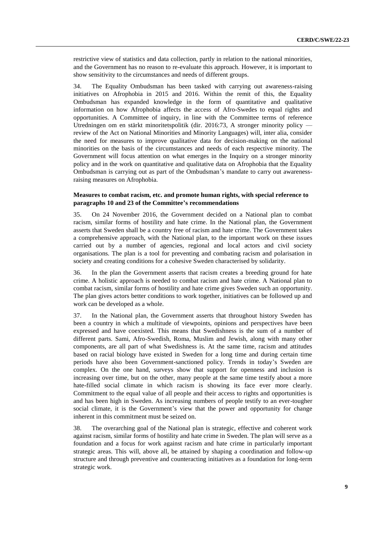restrictive view of statistics and data collection, partly in relation to the national minorities, and the Government has no reason to re-evaluate this approach. However, it is important to show sensitivity to the circumstances and needs of different groups.

34. The Equality Ombudsman has been tasked with carrying out awareness-raising initiatives on Afrophobia in 2015 and 2016. Within the remit of this, the Equality Ombudsman has expanded knowledge in the form of quantitative and qualitative information on how Afrophobia affects the access of Afro-Swedes to equal rights and opportunities. A Committee of inquiry, in line with the Committee terms of reference Utredningen om en stärkt minoritetspolitik (dir. 2016:73, A stronger minority policy review of the Act on National Minorities and Minority Languages) will, inter alia, consider the need for measures to improve qualitative data for decision-making on the national minorities on the basis of the circumstances and needs of each respective minority. The Government will focus attention on what emerges in the Inquiry on a stronger minority policy and in the work on quantitative and qualitative data on Afrophobia that the Equality Ombudsman is carrying out as part of the Ombudsman's mandate to carry out awarenessraising measures on Afrophobia.

## **Measures to combat racism, etc. and promote human rights, with special reference to paragraphs 10 and 23 of the Committee's recommendations**

35. On 24 November 2016, the Government decided on a National plan to combat racism, similar forms of hostility and hate crime. In the National plan, the Government asserts that Sweden shall be a country free of racism and hate crime. The Government takes a comprehensive approach, with the National plan, to the important work on these issues carried out by a number of agencies, regional and local actors and civil society organisations. The plan is a tool for preventing and combating racism and polarisation in society and creating conditions for a cohesive Sweden characterised by solidarity.

36. In the plan the Government asserts that racism creates a breeding ground for hate crime. A holistic approach is needed to combat racism and hate crime. A National plan to combat racism, similar forms of hostility and hate crime gives Sweden such an opportunity. The plan gives actors better conditions to work together, initiatives can be followed up and work can be developed as a whole.

37. In the National plan, the Government asserts that throughout history Sweden has been a country in which a multitude of viewpoints, opinions and perspectives have been expressed and have coexisted. This means that Swedishness is the sum of a number of different parts. Sami, Afro-Swedish, Roma, Muslim and Jewish, along with many other components, are all part of what Swedishness is. At the same time, racism and attitudes based on racial biology have existed in Sweden for a long time and during certain time periods have also been Government-sanctioned policy. Trends in today's Sweden are complex. On the one hand, surveys show that support for openness and inclusion is increasing over time, but on the other, many people at the same time testify about a more hate-filled social climate in which racism is showing its face ever more clearly. Commitment to the equal value of all people and their access to rights and opportunities is and has been high in Sweden. As increasing numbers of people testify to an ever-tougher social climate, it is the Government's view that the power and opportunity for change inherent in this commitment must be seized on.

38. The overarching goal of the National plan is strategic, effective and coherent work against racism, similar forms of hostility and hate crime in Sweden. The plan will serve as a foundation and a focus for work against racism and hate crime in particularly important strategic areas. This will, above all, be attained by shaping a coordination and follow-up structure and through preventive and counteracting initiatives as a foundation for long-term strategic work.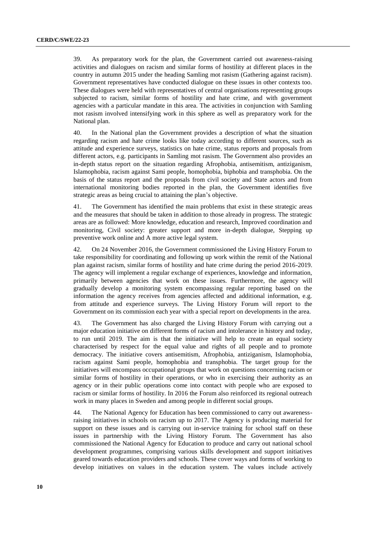39. As preparatory work for the plan, the Government carried out awareness-raising activities and dialogues on racism and similar forms of hostility at different places in the country in autumn 2015 under the heading Samling mot rasism (Gathering against racism). Government representatives have conducted dialogue on these issues in other contexts too. These dialogues were held with representatives of central organisations representing groups subjected to racism, similar forms of hostility and hate crime, and with government agencies with a particular mandate in this area. The activities in conjunction with Samling mot rasism involved intensifying work in this sphere as well as preparatory work for the National plan.

40. In the National plan the Government provides a description of what the situation regarding racism and hate crime looks like today according to different sources, such as attitude and experience surveys, statistics on hate crime, status reports and proposals from different actors, e.g. participants in Samling mot rasism. The Government also provides an in-depth status report on the situation regarding Afrophobia, antisemitism, antiziganism, Islamophobia, racism against Sami people, homophobia, biphobia and transphobia. On the basis of the status report and the proposals from civil society and State actors and from international monitoring bodies reported in the plan, the Government identifies five strategic areas as being crucial to attaining the plan's objective.

41. The Government has identified the main problems that exist in these strategic areas and the measures that should be taken in addition to those already in progress. The strategic areas are as followed: More knowledge, education and research, Improved coordination and monitoring, Civil society: greater support and more in-depth dialogue, Stepping up preventive work online and A more active legal system.

42. On 24 November 2016, the Government commissioned the Living History Forum to take responsibility for coordinating and following up work within the remit of the National plan against racism, similar forms of hostility and hate crime during the period 2016-2019. The agency will implement a regular exchange of experiences, knowledge and information, primarily between agencies that work on these issues. Furthermore, the agency will gradually develop a monitoring system encompassing regular reporting based on the information the agency receives from agencies affected and additional information, e.g. from attitude and experience surveys. The Living History Forum will report to the Government on its commission each year with a special report on developments in the area.

43. The Government has also charged the Living History Forum with carrying out a major education initiative on different forms of racism and intolerance in history and today, to run until 2019. The aim is that the initiative will help to create an equal society characterised by respect for the equal value and rights of all people and to promote democracy. The initiative covers antisemitism, Afrophobia, antiziganism, Islamophobia, racism against Sami people, homophobia and transphobia. The target group for the initiatives will encompass occupational groups that work on questions concerning racism or similar forms of hostility in their operations, or who in exercising their authority as an agency or in their public operations come into contact with people who are exposed to racism or similar forms of hostility. In 2016 the Forum also reinforced its regional outreach work in many places in Sweden and among people in different social groups.

44. The National Agency for Education has been commissioned to carry out awarenessraising initiatives in schools on racism up to 2017. The Agency is producing material for support on these issues and is carrying out in-service training for school staff on these issues in partnership with the Living History Forum. The Government has also commissioned the National Agency for Education to produce and carry out national school development programmes, comprising various skills development and support initiatives geared towards education providers and schools. These cover ways and forms of working to develop initiatives on values in the education system. The values include actively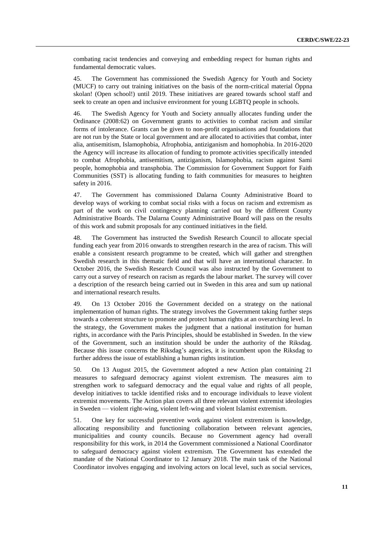combating racist tendencies and conveying and embedding respect for human rights and fundamental democratic values.

45. The Government has commissioned the Swedish Agency for Youth and Society (MUCF) to carry out training initiatives on the basis of the norm-critical material Öppna skolan! (Open school!) until 2019. These initiatives are geared towards school staff and seek to create an open and inclusive environment for young LGBTQ people in schools.

46. The Swedish Agency for Youth and Society annually allocates funding under the Ordinance (2008:62) on Government grants to activities to combat racism and similar forms of intolerance. Grants can be given to non-profit organisations and foundations that are not run by the State or local government and are allocated to activities that combat, inter alia, antisemitism, Islamophobia, Afrophobia, antiziganism and homophobia. In 2016-2020 the Agency will increase its allocation of funding to promote activities specifically intended to combat Afrophobia, antisemitism, antiziganism, Islamophobia, racism against Sami people, homophobia and transphobia. The Commission for Government Support for Faith Communities (SST) is allocating funding to faith communities for measures to heighten safety in 2016.

47. The Government has commissioned Dalarna County Administrative Board to develop ways of working to combat social risks with a focus on racism and extremism as part of the work on civil contingency planning carried out by the different County Administrative Boards. The Dalarna County Administrative Board will pass on the results of this work and submit proposals for any continued initiatives in the field.

48. The Government has instructed the Swedish Research Council to allocate special funding each year from 2016 onwards to strengthen research in the area of racism. This will enable a consistent research programme to be created, which will gather and strengthen Swedish research in this thematic field and that will have an international character. In October 2016, the Swedish Research Council was also instructed by the Government to carry out a survey of research on racism as regards the labour market. The survey will cover a description of the research being carried out in Sweden in this area and sum up national and international research results.

49. On 13 October 2016 the Government decided on a strategy on the national implementation of human rights. The strategy involves the Government taking further steps towards a coherent structure to promote and protect human rights at an overarching level. In the strategy, the Government makes the judgment that a national institution for human rights, in accordance with the Paris Principles, should be established in Sweden. In the view of the Government, such an institution should be under the authority of the Riksdag. Because this issue concerns the Riksdag's agencies, it is incumbent upon the Riksdag to further address the issue of establishing a human rights institution.

50. On 13 August 2015, the Government adopted a new Action plan containing 21 measures to safeguard democracy against violent extremism. The measures aim to strengthen work to safeguard democracy and the equal value and rights of all people, develop initiatives to tackle identified risks and to encourage individuals to leave violent extremist movements. The Action plan covers all three relevant violent extremist ideologies in Sweden — violent right-wing, violent left-wing and violent Islamist extremism.

51. One key for successful preventive work against violent extremism is knowledge, allocating responsibility and functioning collaboration between relevant agencies, municipalities and county councils. Because no Government agency had overall responsibility for this work, in 2014 the Government commissioned a National Coordinator to safeguard democracy against violent extremism. The Government has extended the mandate of the National Coordinator to 12 January 2018. The main task of the National Coordinator involves engaging and involving actors on local level, such as social services,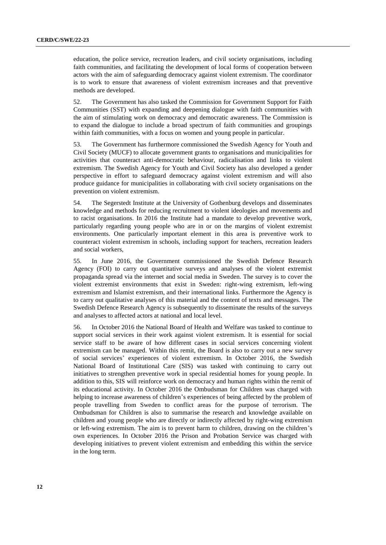education, the police service, recreation leaders, and civil society organisations, including faith communities, and facilitating the development of local forms of cooperation between actors with the aim of safeguarding democracy against violent extremism. The coordinator is to work to ensure that awareness of violent extremism increases and that preventive methods are developed.

52. The Government has also tasked the Commission for Government Support for Faith Communities (SST) with expanding and deepening dialogue with faith communities with the aim of stimulating work on democracy and democratic awareness. The Commission is to expand the dialogue to include a broad spectrum of faith communities and groupings within faith communities, with a focus on women and young people in particular.

53. The Government has furthermore commissioned the Swedish Agency for Youth and Civil Society (MUCF) to allocate government grants to organisations and municipalities for activities that counteract anti-democratic behaviour, radicalisation and links to violent extremism. The Swedish Agency for Youth and Civil Society has also developed a gender perspective in effort to safeguard democracy against violent extremism and will also produce guidance for municipalities in collaborating with civil society organisations on the prevention on violent extremism.

54. The Segerstedt Institute at the University of Gothenburg develops and disseminates knowledge and methods for reducing recruitment to violent ideologies and movements and to racist organisations. In 2016 the Institute had a mandate to develop preventive work, particularly regarding young people who are in or on the margins of violent extremist environments. One particularly important element in this area is preventive work to counteract violent extremism in schools, including support for teachers, recreation leaders and social workers,

55. In June 2016, the Government commissioned the Swedish Defence Research Agency (FOI) to carry out quantitative surveys and analyses of the violent extremist propaganda spread via the internet and social media in Sweden. The survey is to cover the violent extremist environments that exist in Sweden: right-wing extremism, left-wing extremism and Islamist extremism, and their international links. Furthermore the Agency is to carry out qualitative analyses of this material and the content of texts and messages. The Swedish Defence Research Agency is subsequently to disseminate the results of the surveys and analyses to affected actors at national and local level.

56. In October 2016 the National Board of Health and Welfare was tasked to continue to support social services in their work against violent extremism. It is essential for social service staff to be aware of how different cases in social services concerning violent extremism can be managed. Within this remit, the Board is also to carry out a new survey of social services' experiences of violent extremism. In October 2016, the Swedish National Board of Institutional Care (SIS) was tasked with continuing to carry out initiatives to strengthen preventive work in special residential homes for young people. In addition to this, SIS will reinforce work on democracy and human rights within the remit of its educational activity. In October 2016 the Ombudsman for Children was charged with helping to increase awareness of children's experiences of being affected by the problem of people travelling from Sweden to conflict areas for the purpose of terrorism. The Ombudsman for Children is also to summarise the research and knowledge available on children and young people who are directly or indirectly affected by right-wing extremism or left-wing extremism. The aim is to prevent harm to children, drawing on the children's own experiences. In October 2016 the Prison and Probation Service was charged with developing initiatives to prevent violent extremism and embedding this within the service in the long term.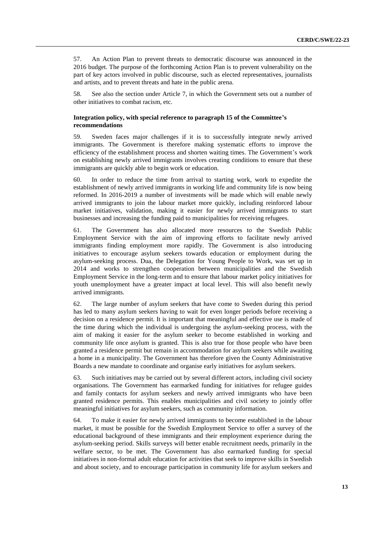57. An Action Plan to prevent threats to democratic discourse was announced in the 2016 budget. The purpose of the forthcoming Action Plan is to prevent vulnerability on the part of key actors involved in public discourse, such as elected representatives, journalists and artists, and to prevent threats and hate in the public arena.

58. See also the section under Article 7, in which the Government sets out a number of other initiatives to combat racism, etc.

#### **Integration policy, with special reference to paragraph 15 of the Committee's recommendations**

59. Sweden faces major challenges if it is to successfully integrate newly arrived immigrants. The Government is therefore making systematic efforts to improve the efficiency of the establishment process and shorten waiting times. The Government's work on establishing newly arrived immigrants involves creating conditions to ensure that these immigrants are quickly able to begin work or education.

60. In order to reduce the time from arrival to starting work, work to expedite the establishment of newly arrived immigrants in working life and community life is now being reformed. In 2016-2019 a number of investments will be made which will enable newly arrived immigrants to join the labour market more quickly, including reinforced labour market initiatives, validation, making it easier for newly arrived immigrants to start businesses and increasing the funding paid to municipalities for receiving refugees.

61. The Government has also allocated more resources to the Swedish Public Employment Service with the aim of improving efforts to facilitate newly arrived immigrants finding employment more rapidly. The Government is also introducing initiatives to encourage asylum seekers towards education or employment during the asylum-seeking process. Dua, the Delegation for Young People to Work, was set up in 2014 and works to strengthen cooperation between municipalities and the Swedish Employment Service in the long-term and to ensure that labour market policy initiatives for youth unemployment have a greater impact at local level. This will also benefit newly arrived immigrants.

62. The large number of asylum seekers that have come to Sweden during this period has led to many asylum seekers having to wait for even longer periods before receiving a decision on a residence permit. It is important that meaningful and effective use is made of the time during which the individual is undergoing the asylum-seeking process, with the aim of making it easier for the asylum seeker to become established in working and community life once asylum is granted. This is also true for those people who have been granted a residence permit but remain in accommodation for asylum seekers while awaiting a home in a municipality. The Government has therefore given the County Administrative Boards a new mandate to coordinate and organise early initiatives for asylum seekers.

63. Such initiatives may be carried out by several different actors, including civil society organisations. The Government has earmarked funding for initiatives for refugee guides and family contacts for asylum seekers and newly arrived immigrants who have been granted residence permits. This enables municipalities and civil society to jointly offer meaningful initiatives for asylum seekers, such as community information.

64. To make it easier for newly arrived immigrants to become established in the labour market, it must be possible for the Swedish Employment Service to offer a survey of the educational background of these immigrants and their employment experience during the asylum-seeking period. Skills surveys will better enable recruitment needs, primarily in the welfare sector, to be met. The Government has also earmarked funding for special initiatives in non-formal adult education for activities that seek to improve skills in Swedish and about society, and to encourage participation in community life for asylum seekers and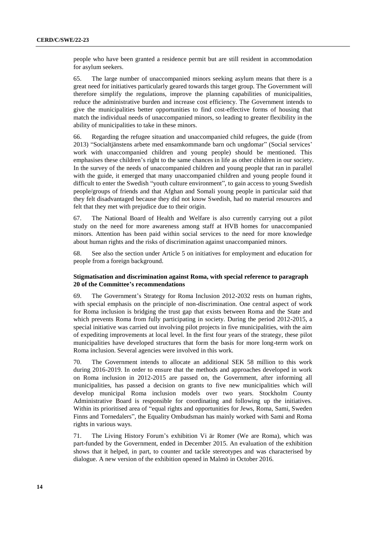people who have been granted a residence permit but are still resident in accommodation for asylum seekers.

65. The large number of unaccompanied minors seeking asylum means that there is a great need for initiatives particularly geared towards this target group. The Government will therefore simplify the regulations, improve the planning capabilities of municipalities, reduce the administrative burden and increase cost efficiency. The Government intends to give the municipalities better opportunities to find cost-effective forms of housing that match the individual needs of unaccompanied minors, so leading to greater flexibility in the ability of municipalities to take in these minors.

66. Regarding the refugee situation and unaccompanied child refugees, the guide (from 2013) "Socialtjänstens arbete med ensamkommande barn och ungdomar" (Social services' work with unaccompanied children and young people) should be mentioned. This emphasises these children's right to the same chances in life as other children in our society. In the survey of the needs of unaccompanied children and young people that ran in parallel with the guide, it emerged that many unaccompanied children and young people found it difficult to enter the Swedish "youth culture environment", to gain access to young Swedish people/groups of friends and that Afghan and Somali young people in particular said that they felt disadvantaged because they did not know Swedish, had no material resources and felt that they met with prejudice due to their origin.

67. The National Board of Health and Welfare is also currently carrying out a pilot study on the need for more awareness among staff at HVB homes for unaccompanied minors. Attention has been paid within social services to the need for more knowledge about human rights and the risks of discrimination against unaccompanied minors.

68. See also the section under Article 5 on initiatives for employment and education for people from a foreign background.

#### **Stigmatisation and discrimination against Roma, with special reference to paragraph 20 of the Committee's recommendations**

69. The Government's Strategy for Roma Inclusion 2012-2032 rests on human rights, with special emphasis on the principle of non-discrimination. One central aspect of work for Roma inclusion is bridging the trust gap that exists between Roma and the State and which prevents Roma from fully participating in society. During the period 2012-2015, a special initiative was carried out involving pilot projects in five municipalities, with the aim of expediting improvements at local level. In the first four years of the strategy, these pilot municipalities have developed structures that form the basis for more long-term work on Roma inclusion. Several agencies were involved in this work.

70. The Government intends to allocate an additional SEK 58 million to this work during 2016-2019. In order to ensure that the methods and approaches developed in work on Roma inclusion in 2012-2015 are passed on, the Government, after informing all municipalities, has passed a decision on grants to five new municipalities which will develop municipal Roma inclusion models over two years. Stockholm County Administrative Board is responsible for coordinating and following up the initiatives. Within its prioritised area of "equal rights and opportunities for Jews, Roma, Sami, Sweden Finns and Tornedalers", the Equality Ombudsman has mainly worked with Sami and Roma rights in various ways.

71. The Living History Forum's exhibition Vi är Romer (We are Roma), which was part-funded by the Government, ended in December 2015. An evaluation of the exhibition shows that it helped, in part, to counter and tackle stereotypes and was characterised by dialogue. A new version of the exhibition opened in Malmö in October 2016.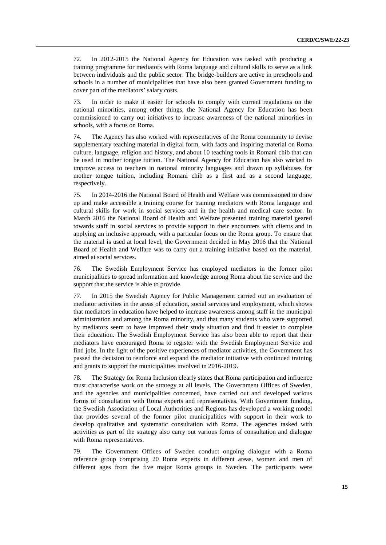72. In 2012-2015 the National Agency for Education was tasked with producing a training programme for mediators with Roma language and cultural skills to serve as a link between individuals and the public sector. The bridge-builders are active in preschools and schools in a number of municipalities that have also been granted Government funding to cover part of the mediators' salary costs.

73. In order to make it easier for schools to comply with current regulations on the national minorities, among other things, the National Agency for Education has been commissioned to carry out initiatives to increase awareness of the national minorities in schools, with a focus on Roma.

74. The Agency has also worked with representatives of the Roma community to devise supplementary teaching material in digital form, with facts and inspiring material on Roma culture, language, religion and history, and about 10 teaching tools in Romani chib that can be used in mother tongue tuition. The National Agency for Education has also worked to improve access to teachers in national minority languages and drawn up syllabuses for mother tongue tuition, including Romani chib as a first and as a second language, respectively.

75. In 2014-2016 the National Board of Health and Welfare was commissioned to draw up and make accessible a training course for training mediators with Roma language and cultural skills for work in social services and in the health and medical care sector. In March 2016 the National Board of Health and Welfare presented training material geared towards staff in social services to provide support in their encounters with clients and in applying an inclusive approach, with a particular focus on the Roma group. To ensure that the material is used at local level, the Government decided in May 2016 that the National Board of Health and Welfare was to carry out a training initiative based on the material, aimed at social services.

76. The Swedish Employment Service has employed mediators in the former pilot municipalities to spread information and knowledge among Roma about the service and the support that the service is able to provide.

77. In 2015 the Swedish Agency for Public Management carried out an evaluation of mediator activities in the areas of education, social services and employment, which shows that mediators in education have helped to increase awareness among staff in the municipal administration and among the Roma minority, and that many students who were supported by mediators seem to have improved their study situation and find it easier to complete their education. The Swedish Employment Service has also been able to report that their mediators have encouraged Roma to register with the Swedish Employment Service and find jobs. In the light of the positive experiences of mediator activities, the Government has passed the decision to reinforce and expand the mediator initiative with continued training and grants to support the municipalities involved in 2016-2019.

78. The Strategy for Roma Inclusion clearly states that Roma participation and influence must characterise work on the strategy at all levels. The Government Offices of Sweden, and the agencies and municipalities concerned, have carried out and developed various forms of consultation with Roma experts and representatives. With Government funding, the Swedish Association of Local Authorities and Regions has developed a working model that provides several of the former pilot municipalities with support in their work to develop qualitative and systematic consultation with Roma. The agencies tasked with activities as part of the strategy also carry out various forms of consultation and dialogue with Roma representatives.

79. The Government Offices of Sweden conduct ongoing dialogue with a Roma reference group comprising 20 Roma experts in different areas, women and men of different ages from the five major Roma groups in Sweden. The participants were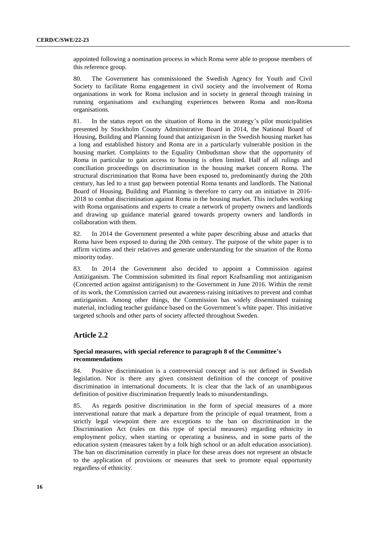appointed following a nomination process in which Roma were able to propose members of this reference group.

80. The Government has commissioned the Swedish Agency for Youth and Civil Society to facilitate Roma engagement in civil society and the involvement of Roma organisations in work for Roma inclusion and in society in general through training in running organisations and exchanging experiences between Roma and non-Roma organisations.

81. In the status report on the situation of Roma in the strategy's pilot municipalities presented by Stockholm County Administrative Board in 2014, the National Board of Housing, Building and Planning found that antiziganism in the Swedish housing market has a long and established history and Roma are in a particularly vulnerable position in the housing market. Complaints to the Equality Ombudsman show that the opportunity of Roma in particular to gain access to housing is often limited. Half of all rulings and conciliation proceedings on discrimination in the housing market concern Roma. The structural discrimination that Roma have been exposed to, predominantly during the 20th century, has led to a trust gap between potential Roma tenants and landlords. The National Board of Housing, Building and Planning is therefore to carry out an initiative in 2016- 2018 to combat discrimination against Roma in the housing market. This includes working with Roma organisations and experts to create a network of property owners and landlords and drawing up guidance material geared towards property owners and landlords in collaboration with them.

82. In 2014 the Government presented a white paper describing abuse and attacks that Roma have been exposed to during the 20th century. The purpose of the white paper is to affirm victims and their relatives and generate understanding for the situation of the Roma minority today.

83. In 2014 the Government also decided to appoint a Commission against Antiziganism. The Commission submitted its final report Kraftsamling mot antiziganism (Concerted action against antiziganism) to the Government in June 2016. Within the remit of its work, the Commission carried out awareness-raising initiatives to prevent and combat antiziganism. Among other things, the Commission has widely disseminated training material, including teacher guidance based on the Government's white paper. This initiative targeted schools and other parts of society affected throughout Sweden.

## **Article 2.2**

## **Special measures, with special reference to paragraph 8 of the Committee's recommendations**

84. Positive discrimination is a controversial concept and is not defined in Swedish legislation. Nor is there any given consistent definition of the concept of positive discrimination in international documents. It is clear that the lack of an unambiguous definition of positive discrimination frequently leads to misunderstandings.

85. As regards positive discrimination in the form of special measures of a more interventional nature that mark a departure from the principle of equal treatment, from a strictly legal viewpoint there are exceptions to the ban on discrimination in the Discrimination Act (rules on this type of special measures) regarding ethnicity in employment policy, when starting or operating a business, and in some parts of the education system (measures taken by a folk high school or an adult education association). The ban on discrimination currently in place for these areas does not represent an obstacle to the application of provisions or measures that seek to promote equal opportunity regardless of ethnicity.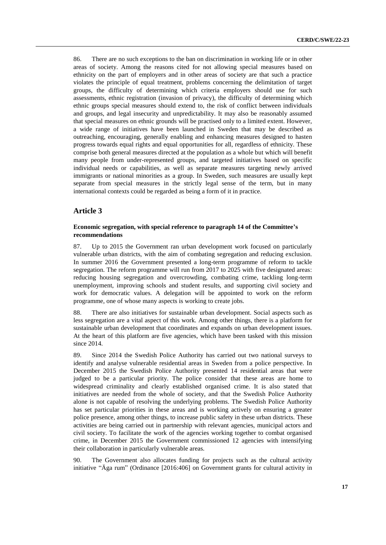86. There are no such exceptions to the ban on discrimination in working life or in other areas of society. Among the reasons cited for not allowing special measures based on ethnicity on the part of employers and in other areas of society are that such a practice violates the principle of equal treatment, problems concerning the delimitation of target groups, the difficulty of determining which criteria employers should use for such assessments, ethnic registration (invasion of privacy), the difficulty of determining which ethnic groups special measures should extend to, the risk of conflict between individuals and groups, and legal insecurity and unpredictability. It may also be reasonably assumed that special measures on ethnic grounds will be practised only to a limited extent. However, a wide range of initiatives have been launched in Sweden that may be described as outreaching, encouraging, generally enabling and enhancing measures designed to hasten progress towards equal rights and equal opportunities for all, regardless of ethnicity. These comprise both general measures directed at the population as a whole but which will benefit many people from under-represented groups, and targeted initiatives based on specific individual needs or capabilities, as well as separate measures targeting newly arrived immigrants or national minorities as a group. In Sweden, such measures are usually kept separate from special measures in the strictly legal sense of the term, but in many international contexts could be regarded as being a form of it in practice.

## **Article 3**

## **Economic segregation, with special reference to paragraph 14 of the Committee's recommendations**

87. Up to 2015 the Government ran urban development work focused on particularly vulnerable urban districts, with the aim of combating segregation and reducing exclusion. In summer 2016 the Government presented a long-term programme of reform to tackle segregation. The reform programme will run from 2017 to 2025 with five designated areas: reducing housing segregation and overcrowding, combating crime, tackling long-term unemployment, improving schools and student results, and supporting civil society and work for democratic values. A delegation will be appointed to work on the reform programme, one of whose many aspects is working to create jobs.

88. There are also initiatives for sustainable urban development. Social aspects such as less segregation are a vital aspect of this work. Among other things, there is a platform for sustainable urban development that coordinates and expands on urban development issues. At the heart of this platform are five agencies, which have been tasked with this mission since 2014.

89. Since 2014 the Swedish Police Authority has carried out two national surveys to identify and analyse vulnerable residential areas in Sweden from a police perspective. In December 2015 the Swedish Police Authority presented 14 residential areas that were judged to be a particular priority. The police consider that these areas are home to widespread criminality and clearly established organised crime. It is also stated that initiatives are needed from the whole of society, and that the Swedish Police Authority alone is not capable of resolving the underlying problems. The Swedish Police Authority has set particular priorities in these areas and is working actively on ensuring a greater police presence, among other things, to increase public safety in these urban districts. These activities are being carried out in partnership with relevant agencies, municipal actors and civil society. To facilitate the work of the agencies working together to combat organised crime, in December 2015 the Government commissioned 12 agencies with intensifying their collaboration in particularly vulnerable areas.

90. The Government also allocates funding for projects such as the cultural activity initiative "Äga rum" (Ordinance [2016:406] on Government grants for cultural activity in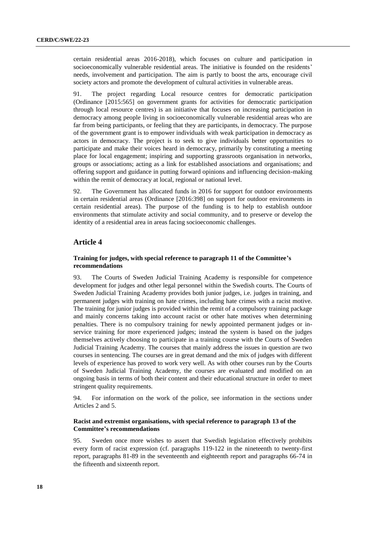certain residential areas 2016-2018), which focuses on culture and participation in socioeconomically vulnerable residential areas. The initiative is founded on the residents' needs, involvement and participation. The aim is partly to boost the arts, encourage civil society actors and promote the development of cultural activities in vulnerable areas.

91. The project regarding Local resource centres for democratic participation (Ordinance [2015:565] on government grants for activities for democratic participation through local resource centres) is an initiative that focuses on increasing participation in democracy among people living in socioeconomically vulnerable residential areas who are far from being participants, or feeling that they are participants, in democracy. The purpose of the government grant is to empower individuals with weak participation in democracy as actors in democracy. The project is to seek to give individuals better opportunities to participate and make their voices heard in democracy, primarily by constituting a meeting place for local engagement; inspiring and supporting grassroots organisation in networks, groups or associations; acting as a link for established associations and organisations; and offering support and guidance in putting forward opinions and influencing decision-making within the remit of democracy at local, regional or national level.

92. The Government has allocated funds in 2016 for support for outdoor environments in certain residential areas (Ordinance [2016:398] on support for outdoor environments in certain residential areas). The purpose of the funding is to help to establish outdoor environments that stimulate activity and social community, and to preserve or develop the identity of a residential area in areas facing socioeconomic challenges.

## **Article 4**

## **Training for judges, with special reference to paragraph 11 of the Committee's recommendations**

93. The Courts of Sweden Judicial Training Academy is responsible for competence development for judges and other legal personnel within the Swedish courts. The Courts of Sweden Judicial Training Academy provides both junior judges, i.e. judges in training, and permanent judges with training on hate crimes, including hate crimes with a racist motive. The training for junior judges is provided within the remit of a compulsory training package and mainly concerns taking into account racist or other hate motives when determining penalties. There is no compulsory training for newly appointed permanent judges or inservice training for more experienced judges; instead the system is based on the judges themselves actively choosing to participate in a training course with the Courts of Sweden Judicial Training Academy. The courses that mainly address the issues in question are two courses in sentencing. The courses are in great demand and the mix of judges with different levels of experience has proved to work very well. As with other courses run by the Courts of Sweden Judicial Training Academy, the courses are evaluated and modified on an ongoing basis in terms of both their content and their educational structure in order to meet stringent quality requirements.

94. For information on the work of the police, see information in the sections under Articles 2 and 5.

## **Racist and extremist organisations, with special reference to paragraph 13 of the Committee's recommendations**

95. Sweden once more wishes to assert that Swedish legislation effectively prohibits every form of racist expression (cf. paragraphs 119-122 in the nineteenth to twenty-first report, paragraphs 81-89 in the seventeenth and eighteenth report and paragraphs 66-74 in the fifteenth and sixteenth report.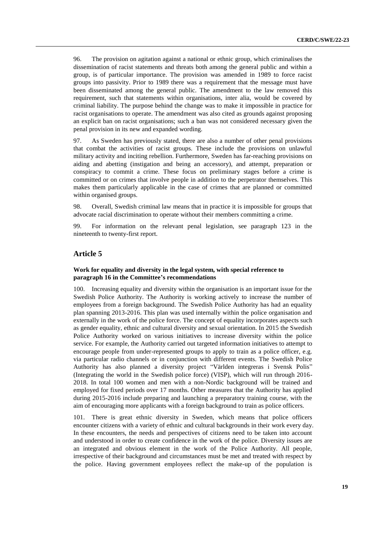96. The provision on agitation against a national or ethnic group, which criminalises the dissemination of racist statements and threats both among the general public and within a group, is of particular importance. The provision was amended in 1989 to force racist groups into passivity. Prior to 1989 there was a requirement that the message must have been disseminated among the general public. The amendment to the law removed this requirement, such that statements within organisations, inter alia, would be covered by criminal liability. The purpose behind the change was to make it impossible in practice for racist organisations to operate. The amendment was also cited as grounds against proposing an explicit ban on racist organisations; such a ban was not considered necessary given the penal provision in its new and expanded wording.

97. As Sweden has previously stated, there are also a number of other penal provisions that combat the activities of racist groups. These include the provisions on unlawful military activity and inciting rebellion. Furthermore, Sweden has far-reaching provisions on aiding and abetting (instigation and being an accessory), and attempt, preparation or conspiracy to commit a crime. These focus on preliminary stages before a crime is committed or on crimes that involve people in addition to the perpetrator themselves. This makes them particularly applicable in the case of crimes that are planned or committed within organised groups.

98. Overall, Swedish criminal law means that in practice it is impossible for groups that advocate racial discrimination to operate without their members committing a crime.

99. For information on the relevant penal legislation, see paragraph 123 in the nineteenth to twenty-first report.

#### **Article 5**

#### **Work for equality and diversity in the legal system, with special reference to paragraph 16 in the Committee's recommendations**

100. Increasing equality and diversity within the organisation is an important issue for the Swedish Police Authority. The Authority is working actively to increase the number of employees from a foreign background. The Swedish Police Authority has had an equality plan spanning 2013-2016. This plan was used internally within the police organisation and externally in the work of the police force. The concept of equality incorporates aspects such as gender equality, ethnic and cultural diversity and sexual orientation. In 2015 the Swedish Police Authority worked on various initiatives to increase diversity within the police service. For example, the Authority carried out targeted information initiatives to attempt to encourage people from under-represented groups to apply to train as a police officer, e.g. via particular radio channels or in conjunction with different events. The Swedish Police Authority has also planned a diversity project "Världen integreras i Svensk Polis" (Integrating the world in the Swedish police force) (VISP), which will run through 2016- 2018. In total 100 women and men with a non-Nordic background will be trained and employed for fixed periods over 17 months. Other measures that the Authority has applied during 2015-2016 include preparing and launching a preparatory training course, with the aim of encouraging more applicants with a foreign background to train as police officers.

101. There is great ethnic diversity in Sweden, which means that police officers encounter citizens with a variety of ethnic and cultural backgrounds in their work every day. In these encounters, the needs and perspectives of citizens need to be taken into account and understood in order to create confidence in the work of the police. Diversity issues are an integrated and obvious element in the work of the Police Authority. All people, irrespective of their background and circumstances must be met and treated with respect by the police. Having government employees reflect the make-up of the population is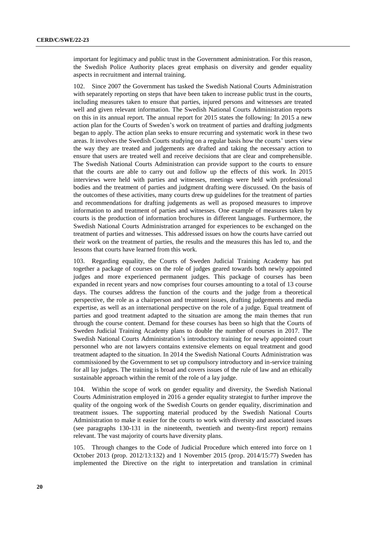important for legitimacy and public trust in the Government administration. For this reason, the Swedish Police Authority places great emphasis on diversity and gender equality aspects in recruitment and internal training.

102. Since 2007 the Government has tasked the Swedish National Courts Administration with separately reporting on steps that have been taken to increase public trust in the courts, including measures taken to ensure that parties, injured persons and witnesses are treated well and given relevant information. The Swedish National Courts Administration reports on this in its annual report. The annual report for 2015 states the following: In 2015 a new action plan for the Courts of Sweden's work on treatment of parties and drafting judgments began to apply. The action plan seeks to ensure recurring and systematic work in these two areas. It involves the Swedish Courts studying on a regular basis how the courts' users view the way they are treated and judgements are drafted and taking the necessary action to ensure that users are treated well and receive decisions that are clear and comprehensible. The Swedish National Courts Administration can provide support to the courts to ensure that the courts are able to carry out and follow up the effects of this work. In 2015 interviews were held with parties and witnesses, meetings were held with professional bodies and the treatment of parties and judgment drafting were discussed. On the basis of the outcomes of these activities, many courts drew up guidelines for the treatment of parties and recommendations for drafting judgements as well as proposed measures to improve information to and treatment of parties and witnesses. One example of measures taken by courts is the production of information brochures in different languages. Furthermore, the Swedish National Courts Administration arranged for experiences to be exchanged on the treatment of parties and witnesses. This addressed issues on how the courts have carried out their work on the treatment of parties, the results and the measures this has led to, and the lessons that courts have learned from this work.

103. Regarding equality, the Courts of Sweden Judicial Training Academy has put together a package of courses on the role of judges geared towards both newly appointed judges and more experienced permanent judges. This package of courses has been expanded in recent years and now comprises four courses amounting to a total of 13 course days. The courses address the function of the courts and the judge from a theoretical perspective, the role as a chairperson and treatment issues, drafting judgements and media expertise, as well as an international perspective on the role of a judge. Equal treatment of parties and good treatment adapted to the situation are among the main themes that run through the course content. Demand for these courses has been so high that the Courts of Sweden Judicial Training Academy plans to double the number of courses in 2017. The Swedish National Courts Administration's introductory training for newly appointed court personnel who are not lawyers contains extensive elements on equal treatment and good treatment adapted to the situation. In 2014 the Swedish National Courts Administration was commissioned by the Government to set up compulsory introductory and in-service training for all lay judges. The training is broad and covers issues of the rule of law and an ethically sustainable approach within the remit of the role of a lay judge.

104. Within the scope of work on gender equality and diversity, the Swedish National Courts Administration employed in 2016 a gender equality strategist to further improve the quality of the ongoing work of the Swedish Courts on gender equality, discrimination and treatment issues. The supporting material produced by the Swedish National Courts Administration to make it easier for the courts to work with diversity and associated issues (see paragraphs 130-131 in the nineteenth, twentieth and twenty-first report) remains relevant. The vast majority of courts have diversity plans.

105. Through changes to the Code of Judicial Procedure which entered into force on 1 October 2013 (prop. 2012/13:132) and 1 November 2015 (prop. 2014/15:77) Sweden has implemented the Directive on the right to interpretation and translation in criminal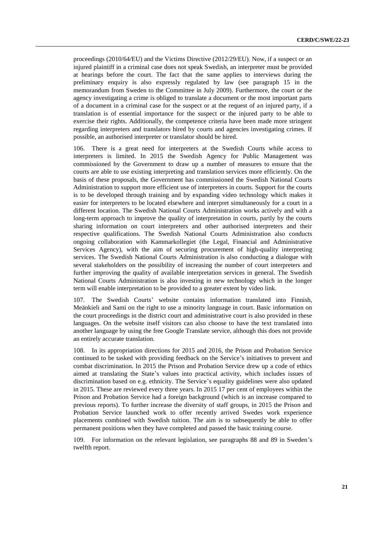proceedings (2010/64/EU) and the Victims Directive (2012/29/EU). Now, if a suspect or an injured plaintiff in a criminal case does not speak Swedish, an interpreter must be provided at hearings before the court. The fact that the same applies to interviews during the preliminary enquiry is also expressly regulated by law (see paragraph 15 in the memorandum from Sweden to the Committee in July 2009). Furthermore, the court or the agency investigating a crime is obliged to translate a document or the most important parts of a document in a criminal case for the suspect or at the request of an injured party, if a translation is of essential importance for the suspect or the injured party to be able to exercise their rights. Additionally, the competence criteria have been made more stringent regarding interpreters and translators hired by courts and agencies investigating crimes. If possible, an authorised interpreter or translator should be hired.

106. There is a great need for interpreters at the Swedish Courts while access to interpreters is limited. In 2015 the Swedish Agency for Public Management was commissioned by the Government to draw up a number of measures to ensure that the courts are able to use existing interpreting and translation services more efficiently. On the basis of these proposals, the Government has commissioned the Swedish National Courts Administration to support more efficient use of interpreters in courts. Support for the courts is to be developed through training and by expanding video technology which makes it easier for interpreters to be located elsewhere and interpret simultaneously for a court in a different location. The Swedish National Courts Administration works actively and with a long-term approach to improve the quality of interpretation in courts, partly by the courts sharing information on court interpreters and other authorised interpreters and their respective qualifications. The Swedish National Courts Administration also conducts ongoing collaboration with Kammarkollegiet (the Legal, Financial and Administrative Services Agency), with the aim of securing procurement of high-quality interpreting services. The Swedish National Courts Administration is also conducting a dialogue with several stakeholders on the possibility of increasing the number of court interpreters and further improving the quality of available interpretation services in general. The Swedish National Courts Administration is also investing in new technology which in the longer term will enable interpretation to be provided to a greater extent by video link.

107. The Swedish Courts' website contains information translated into Finnish, Meänkieli and Sami on the right to use a minority language in court. Basic information on the court proceedings in the district court and administrative court is also provided in these languages. On the website itself visitors can also choose to have the text translated into another language by using the free Google Translate service, although this does not provide an entirely accurate translation.

108. In its appropriation directions for 2015 and 2016, the Prison and Probation Service continued to be tasked with providing feedback on the Service's initiatives to prevent and combat discrimination. In 2015 the Prison and Probation Service drew up a code of ethics aimed at translating the State's values into practical activity, which includes issues of discrimination based on e.g. ethnicity. The Service's equality guidelines were also updated in 2015. These are reviewed every three years. In 2015 17 per cent of employees within the Prison and Probation Service had a foreign background (which is an increase compared to previous reports). To further increase the diversity of staff groups, in 2015 the Prison and Probation Service launched work to offer recently arrived Swedes work experience placements combined with Swedish tuition. The aim is to subsequently be able to offer permanent positions when they have completed and passed the basic training course.

109. For information on the relevant legislation, see paragraphs 88 and 89 in Sweden's twelfth report.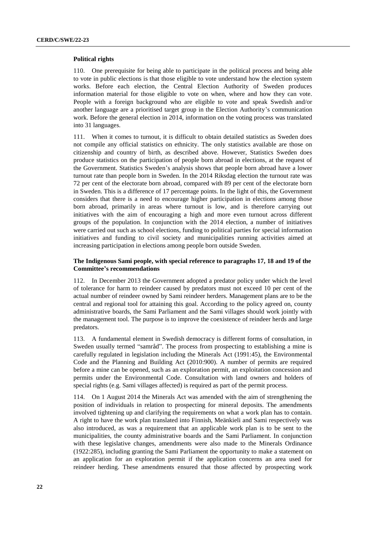#### **Political rights**

110. One prerequisite for being able to participate in the political process and being able to vote in public elections is that those eligible to vote understand how the election system works. Before each election, the Central Election Authority of Sweden produces information material for those eligible to vote on when, where and how they can vote. People with a foreign background who are eligible to vote and speak Swedish and/or another language are a prioritised target group in the Election Authority's communication work. Before the general election in 2014, information on the voting process was translated into 31 languages.

111. When it comes to turnout, it is difficult to obtain detailed statistics as Sweden does not compile any official statistics on ethnicity. The only statistics available are those on citizenship and country of birth, as described above. However, Statistics Sweden does produce statistics on the participation of people born abroad in elections, at the request of the Government. Statistics Sweden's analysis shows that people born abroad have a lower turnout rate than people born in Sweden. In the 2014 Riksdag election the turnout rate was 72 per cent of the electorate born abroad, compared with 89 per cent of the electorate born in Sweden. This is a difference of 17 percentage points. In the light of this, the Government considers that there is a need to encourage higher participation in elections among those born abroad, primarily in areas where turnout is low, and is therefore carrying out initiatives with the aim of encouraging a high and more even turnout across different groups of the population. In conjunction with the 2014 election, a number of initiatives were carried out such as school elections, funding to political parties for special information initiatives and funding to civil society and municipalities running activities aimed at increasing participation in elections among people born outside Sweden.

#### **The Indigenous Sami people, with special reference to paragraphs 17, 18 and 19 of the Committee's recommendations**

112. In December 2013 the Government adopted a predator policy under which the level of tolerance for harm to reindeer caused by predators must not exceed 10 per cent of the actual number of reindeer owned by Sami reindeer herders. Management plans are to be the central and regional tool for attaining this goal. According to the policy agreed on, county administrative boards, the Sami Parliament and the Sami villages should work jointly with the management tool. The purpose is to improve the coexistence of reindeer herds and large predators.

113. A fundamental element in Swedish democracy is different forms of consultation, in Sweden usually termed "samråd". The process from prospecting to establishing a mine is carefully regulated in legislation including the Minerals Act (1991:45), the Environmental Code and the Planning and Building Act (2010:900). A number of permits are required before a mine can be opened, such as an exploration permit, an exploitation concession and permits under the Environmental Code. Consultation with land owners and holders of special rights (e.g. Sami villages affected) is required as part of the permit process.

114. On 1 August 2014 the Minerals Act was amended with the aim of strengthening the position of individuals in relation to prospecting for mineral deposits. The amendments involved tightening up and clarifying the requirements on what a work plan has to contain. A right to have the work plan translated into Finnish, Meänkieli and Sami respectively was also introduced, as was a requirement that an applicable work plan is to be sent to the municipalities, the county administrative boards and the Sami Parliament. In conjunction with these legislative changes, amendments were also made to the Minerals Ordinance (1922:285), including granting the Sami Parliament the opportunity to make a statement on an application for an exploration permit if the application concerns an area used for reindeer herding. These amendments ensured that those affected by prospecting work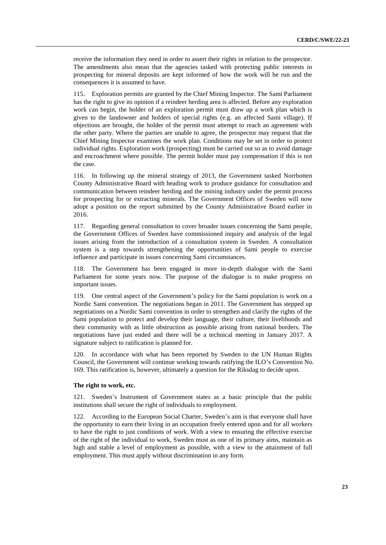receive the information they need in order to assert their rights in relation to the prospector. The amendments also mean that the agencies tasked with protecting public interests in prospecting for mineral deposits are kept informed of how the work will be run and the consequences it is assumed to have.

Exploration permits are granted by the Chief Mining Inspector. The Sami Parliament has the right to give its opinion if a reindeer herding area is affected. Before any exploration work can begin, the holder of an exploration permit must draw up a work plan which is given to the landowner and holders of special rights (e.g. an affected Sami village). If objections are brought, the holder of the permit must attempt to reach an agreement with the other party. Where the parties are unable to agree, the prospector may request that the Chief Mining Inspector examines the work plan. Conditions may be set in order to protect individual rights. Exploration work (prospecting) must be carried out so as to avoid damage and encroachment where possible. The permit holder must pay compensation if this is not the case.

116. In following up the mineral strategy of 2013, the Government tasked Norrbotten County Administrative Board with heading work to produce guidance for consultation and communication between reindeer herding and the mining industry under the permit process for prospecting for or extracting minerals. The Government Offices of Sweden will now adopt a position on the report submitted by the County Administrative Board earlier in 2016.

117. Regarding general consultation to cover broader issues concerning the Sami people, the Government Offices of Sweden have commissioned inquiry and analysis of the legal issues arising from the introduction of a consultation system in Sweden. A consultation system is a step towards strengthening the opportunities of Sami people to exercise influence and participate in issues concerning Sami circumstances.

The Government has been engaged in more in-depth dialogue with the Sami Parliament for some years now. The purpose of the dialogue is to make progress on important issues.

119. One central aspect of the Government's policy for the Sami population is work on a Nordic Sami convention. The negotiations began in 2011. The Government has stepped up negotiations on a Nordic Sami convention in order to strengthen and clarify the rights of the Sami population to protect and develop their language, their culture, their livelihoods and their community with as little obstruction as possible arising from national borders. The negotiations have just ended and there will be a technical meeting in January 2017. A signature subject to ratification is planned for.

120. In accordance with what has been reported by Sweden to the UN Human Rights Council, the Government will continue working towards ratifying the ILO's Convention No. 169. This ratification is, however, ultimately a question for the Riksdag to decide upon.

## **The right to work, etc.**

121. Sweden's Instrument of Government states as a basic principle that the public institutions shall secure the right of individuals to employment.

122. According to the European Social Charter, Sweden's aim is that everyone shall have the opportunity to earn their living in an occupation freely entered upon and for all workers to have the right to just conditions of work. With a view to ensuring the effective exercise of the right of the individual to work, Sweden must as one of its primary aims, maintain as high and stable a level of employment as possible, with a view to the attainment of full employment. This must apply without discrimination in any form.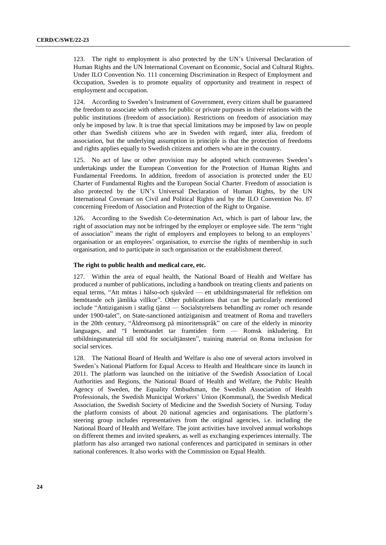123. The right to employment is also protected by the UN's Universal Declaration of Human Rights and the UN International Covenant on Economic, Social and Cultural Rights. Under ILO Convention No. 111 concerning Discrimination in Respect of Employment and Occupation, Sweden is to promote equality of opportunity and treatment in respect of employment and occupation.

124. According to Sweden's Instrument of Government, every citizen shall be guaranteed the freedom to associate with others for public or private purposes in their relations with the public institutions (freedom of association). Restrictions on freedom of association may only be imposed by law. It is true that special limitations may be imposed by law on people other than Swedish citizens who are in Sweden with regard, inter alia, freedom of association, but the underlying assumption in principle is that the protection of freedoms and rights applies equally to Swedish citizens and others who are in the country.

125. No act of law or other provision may be adopted which contravenes Sweden's undertakings under the European Convention for the Protection of Human Rights and Fundamental Freedoms. In addition, freedom of association is protected under the EU Charter of Fundamental Rights and the European Social Charter. Freedom of association is also protected by the UN's Universal Declaration of Human Rights, by the UN International Covenant on Civil and Political Rights and by the ILO Convention No. 87 concerning Freedom of Association and Protection of the Right to Organise.

126. According to the Swedish Co-determination Act, which is part of labour law, the right of association may not be infringed by the employer or employee side. The term "right of association" means the right of employers and employees to belong to an employers' organisation or an employees' organisation, to exercise the rights of membership in such organisation, and to participate in such organisation or the establishment thereof.

#### **The right to public health and medical care, etc.**

127. Within the area of equal health, the National Board of Health and Welfare has produced a number of publications, including a handbook on treating clients and patients on equal terms, "Att mötas i hälso-och sjukvård — ett utbildningsmaterial för reflektion om bemötande och jämlika villkor". Other publications that can be particularly mentioned include "Antiziganism i statlig tjänst — Socialstyrelsens behandling av romer och resande under 1900-talet", on State-sanctioned antiziganism and treatment of Roma and travellers in the 20th century, "Äldreomsorg på minoritetsspråk" on care of the elderly in minority languages, and "I bemötandet tar framtiden form — Romsk inkludering. Ett utbildningsmaterial till stöd för socialtjänsten", training material on Roma inclusion for social services.

128. The National Board of Health and Welfare is also one of several actors involved in Sweden's National Platform for Equal Access to Health and Healthcare since its launch in 2011. The platform was launched on the initiative of the Swedish Association of Local Authorities and Regions, the National Board of Health and Welfare, the Public Health Agency of Sweden, the Equality Ombudsman, the Swedish Association of Health Professionals, the Swedish Municipal Workers' Union (Kommunal), the Swedish Medical Association, the Swedish Society of Medicine and the Swedish Society of Nursing. Today the platform consists of about 20 national agencies and organisations. The platform's steering group includes representatives from the original agencies, i.e. including the National Board of Health and Welfare. The joint activities have involved annual workshops on different themes and invited speakers, as well as exchanging experiences internally. The platform has also arranged two national conferences and participated in seminars in other national conferences. It also works with the Commission on Equal Health.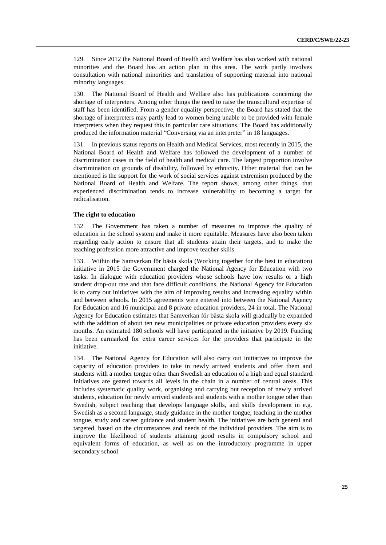129. Since 2012 the National Board of Health and Welfare has also worked with national minorities and the Board has an action plan in this area. The work partly involves consultation with national minorities and translation of supporting material into national minority languages.

130. The National Board of Health and Welfare also has publications concerning the shortage of interpreters. Among other things the need to raise the transcultural expertise of staff has been identified. From a gender equality perspective, the Board has stated that the shortage of interpreters may partly lead to women being unable to be provided with female interpreters when they request this in particular care situations. The Board has additionally produced the information material "Conversing via an interpreter" in 18 languages.

131. In previous status reports on Health and Medical Services, most recently in 2015, the National Board of Health and Welfare has followed the development of a number of discrimination cases in the field of health and medical care. The largest proportion involve discrimination on grounds of disability, followed by ethnicity. Other material that can be mentioned is the support for the work of social services against extremism produced by the National Board of Health and Welfare. The report shows, among other things, that experienced discrimination tends to increase vulnerability to becoming a target for radicalisation.

#### **The right to education**

132. The Government has taken a number of measures to improve the quality of education in the school system and make it more equitable. Measures have also been taken regarding early action to ensure that all students attain their targets, and to make the teaching profession more attractive and improve teacher skills.

133. Within the Samverkan för bästa skola (Working together for the best in education) initiative in 2015 the Government charged the National Agency for Education with two tasks. In dialogue with education providers whose schools have low results or a high student drop-out rate and that face difficult conditions, the National Agency for Education is to carry out initiatives with the aim of improving results and increasing equality within and between schools. In 2015 agreements were entered into between the National Agency for Education and 16 municipal and 8 private education providers, 24 in total. The National Agency for Education estimates that Samverkan för bästa skola will gradually be expanded with the addition of about ten new municipalities or private education providers every six months. An estimated 180 schools will have participated in the initiative by 2019. Funding has been earmarked for extra career services for the providers that participate in the initiative.

134. The National Agency for Education will also carry out initiatives to improve the capacity of education providers to take in newly arrived students and offer them and students with a mother tongue other than Swedish an education of a high and equal standard. Initiatives are geared towards all levels in the chain in a number of central areas. This includes systematic quality work, organising and carrying out reception of newly arrived students, education for newly arrived students and students with a mother tongue other than Swedish, subject teaching that develops language skills, and skills development in e.g. Swedish as a second language, study guidance in the mother tongue, teaching in the mother tongue, study and career guidance and student health. The initiatives are both general and targeted, based on the circumstances and needs of the individual providers. The aim is to improve the likelihood of students attaining good results in compulsory school and equivalent forms of education, as well as on the introductory programme in upper secondary school.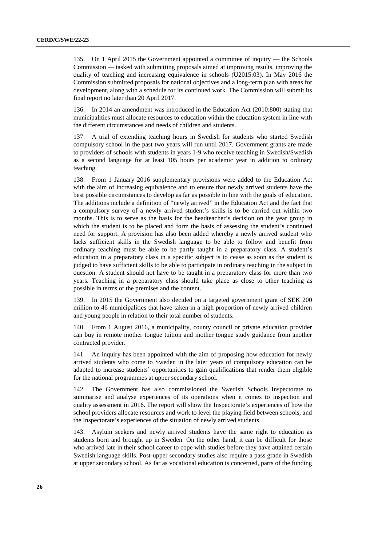135. On 1 April 2015 the Government appointed a committee of inquiry — the Schools Commission — tasked with submitting proposals aimed at improving results, improving the quality of teaching and increasing equivalence in schools (U2015:03). In May 2016 the Commission submitted proposals for national objectives and a long-term plan with areas for development, along with a schedule for its continued work. The Commission will submit its final report no later than 20 April 2017.

136. In 2014 an amendment was introduced in the Education Act (2010:800) stating that municipalities must allocate resources to education within the education system in line with the different circumstances and needs of children and students.

137. A trial of extending teaching hours in Swedish for students who started Swedish compulsory school in the past two years will run until 2017. Government grants are made to providers of schools with students in years 1-9 who receive teaching in Swedish/Swedish as a second language for at least 105 hours per academic year in addition to ordinary teaching.

138. From 1 January 2016 supplementary provisions were added to the Education Act with the aim of increasing equivalence and to ensure that newly arrived students have the best possible circumstances to develop as far as possible in line with the goals of education. The additions include a definition of "newly arrived" in the Education Act and the fact that a compulsory survey of a newly arrived student's skills is to be carried out within two months. This is to serve as the basis for the headteacher's decision on the year group in which the student is to be placed and form the basis of assessing the student's continued need for support. A provision has also been added whereby a newly arrived student who lacks sufficient skills in the Swedish language to be able to follow and benefit from ordinary teaching must be able to be partly taught in a preparatory class. A student's education in a preparatory class in a specific subject is to cease as soon as the student is judged to have sufficient skills to be able to participate in ordinary teaching in the subject in question. A student should not have to be taught in a preparatory class for more than two years. Teaching in a preparatory class should take place as close to other teaching as possible in terms of the premises and the content.

139. In 2015 the Government also decided on a targeted government grant of SEK 200 million to 46 municipalities that have taken in a high proportion of newly arrived children and young people in relation to their total number of students.

140. From 1 August 2016, a municipality, county council or private education provider can buy in remote mother tongue tuition and mother tongue study guidance from another contracted provider.

141. An inquiry has been appointed with the aim of proposing how education for newly arrived students who come to Sweden in the later years of compulsory education can be adapted to increase students' opportunities to gain qualifications that render them eligible for the national programmes at upper secondary school.

142. The Government has also commissioned the Swedish Schools Inspectorate to summarise and analyse experiences of its operations when it comes to inspection and quality assessment in 2016. The report will show the Inspectorate's experiences of how the school providers allocate resources and work to level the playing field between schools, and the Inspectorate's experiences of the situation of newly arrived students.

143. Asylum seekers and newly arrived students have the same right to education as students born and brought up in Sweden. On the other hand, it can be difficult for those who arrived late in their school career to cope with studies before they have attained certain Swedish language skills. Post-upper secondary studies also require a pass grade in Swedish at upper secondary school. As far as vocational education is concerned, parts of the funding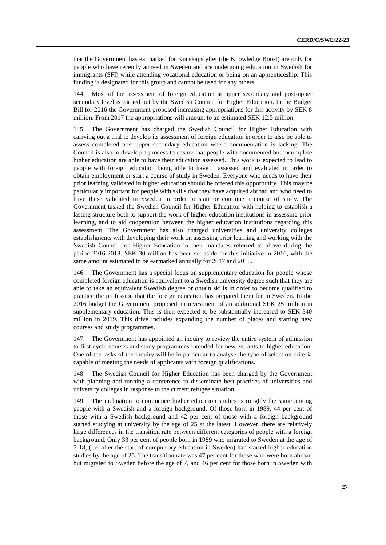that the Government has earmarked for Kunskapslyftet (the Knowledge Boost) are only for people who have recently arrived in Sweden and are undergoing education in Swedish for immigrants (SFI) while attending vocational education or being on an apprenticeship. This funding is designated for this group and cannot be used for any others.

144. Most of the assessment of foreign education at upper secondary and post-upper secondary level is carried out by the Swedish Council for Higher Education. In the Budget Bill for 2016 the Government proposed increasing appropriations for this activity by SEK 8 million. From 2017 the appropriations will amount to an estimated SEK 12.5 million.

145. The Government has charged the Swedish Council for Higher Education with carrying out a trial to develop its assessment of foreign education in order to also be able to assess completed post-upper secondary education where documentation is lacking. The Council is also to develop a process to ensure that people with documented but incomplete higher education are able to have their education assessed. This work is expected to lead to people with foreign education being able to have it assessed and evaluated in order to obtain employment or start a course of study in Sweden. Everyone who needs to have their prior learning validated in higher education should be offered this opportunity. This may be particularly important for people with skills that they have acquired abroad and who need to have these validated in Sweden in order to start or continue a course of study. The Government tasked the Swedish Council for Higher Education with helping to establish a lasting structure both to support the work of higher education institutions in assessing prior learning, and to aid cooperation between the higher education institutions regarding this assessment. The Government has also charged universities and university colleges establishments with developing their work on assessing prior learning and working with the Swedish Council for Higher Education in their mandates referred to above during the period 2016-2018. SEK 30 million has been set aside for this initiative in 2016, with the same amount estimated to be earmarked annually for 2017 and 2018.

146. The Government has a special focus on supplementary education for people whose completed foreign education is equivalent to a Swedish university degree such that they are able to take an equivalent Swedish degree or obtain skills in order to become qualified to practice the profession that the foreign education has prepared them for in Sweden. In the 2016 budget the Government proposed an investment of an additional SEK 25 million in supplementary education. This is then expected to be substantially increased to SEK 340 million in 2019. This drive includes expanding the number of places and starting new courses and study programmes.

147. The Government has appointed an inquiry to review the entire system of admission to first-cycle courses and study programmes intended for new entrants to higher education. One of the tasks of the inquiry will be in particular to analyse the type of selection criteria capable of meeting the needs of applicants with foreign qualifications.

148. The Swedish Council for Higher Education has been charged by the Government with planning and running a conference to disseminate best practices of universities and university colleges in response to the current refugee situation.

149. The inclination to commence higher education studies is roughly the same among people with a Swedish and a foreign background. Of those born in 1989, 44 per cent of those with a Swedish background and 42 per cent of those with a foreign background started studying at university by the age of 25 at the latest. However, there are relatively large differences in the transition rate between different categories of people with a foreign background. Only 33 per cent of people born in 1989 who migrated to Sweden at the age of 7-18, (i.e. after the start of compulsory education in Sweden) had started higher education studies by the age of 25. The transition rate was 47 per cent for those who were born abroad but migrated to Sweden before the age of 7, and 46 per cent for those born in Sweden with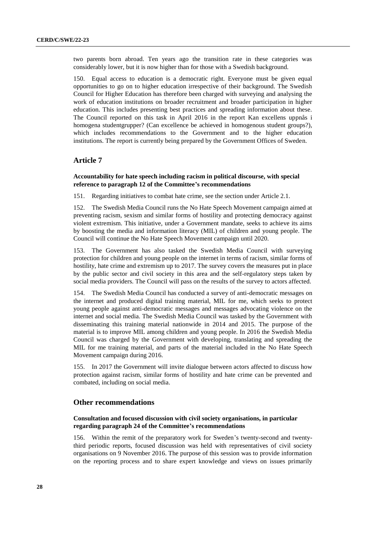two parents born abroad. Ten years ago the transition rate in these categories was considerably lower, but it is now higher than for those with a Swedish background.

150. Equal access to education is a democratic right. Everyone must be given equal opportunities to go on to higher education irrespective of their background. The Swedish Council for Higher Education has therefore been charged with surveying and analysing the work of education institutions on broader recruitment and broader participation in higher education. This includes presenting best practices and spreading information about these. The Council reported on this task in April 2016 in the report Kan excellens uppnås i homogena studentgrupper? (Can excellence be achieved in homogenous student groups?), which includes recommendations to the Government and to the higher education institutions. The report is currently being prepared by the Government Offices of Sweden.

## **Article 7**

#### **Accountability for hate speech including racism in political discourse, with special reference to paragraph 12 of the Committee's recommendations**

151. Regarding initiatives to combat hate crime, see the section under Article 2.1.

152. The Swedish Media Council runs the No Hate Speech Movement campaign aimed at preventing racism, sexism and similar forms of hostility and protecting democracy against violent extremism. This initiative, under a Government mandate, seeks to achieve its aims by boosting the media and information literacy (MIL) of children and young people. The Council will continue the No Hate Speech Movement campaign until 2020.

153. The Government has also tasked the Swedish Media Council with surveying protection for children and young people on the internet in terms of racism, similar forms of hostility, hate crime and extremism up to 2017. The survey covers the measures put in place by the public sector and civil society in this area and the self-regulatory steps taken by social media providers. The Council will pass on the results of the survey to actors affected.

154. The Swedish Media Council has conducted a survey of anti-democratic messages on the internet and produced digital training material, MIL for me, which seeks to protect young people against anti-democratic messages and messages advocating violence on the internet and social media. The Swedish Media Council was tasked by the Government with disseminating this training material nationwide in 2014 and 2015. The purpose of the material is to improve MIL among children and young people. In 2016 the Swedish Media Council was charged by the Government with developing, translating and spreading the MIL for me training material, and parts of the material included in the No Hate Speech Movement campaign during 2016.

155. In 2017 the Government will invite dialogue between actors affected to discuss how protection against racism, similar forms of hostility and hate crime can be prevented and combated, including on social media.

## **Other recommendations**

## **Consultation and focused discussion with civil society organisations, in particular regarding paragraph 24 of the Committee's recommendations**

156. Within the remit of the preparatory work for Sweden's twenty-second and twentythird periodic reports, focused discussion was held with representatives of civil society organisations on 9 November 2016. The purpose of this session was to provide information on the reporting process and to share expert knowledge and views on issues primarily